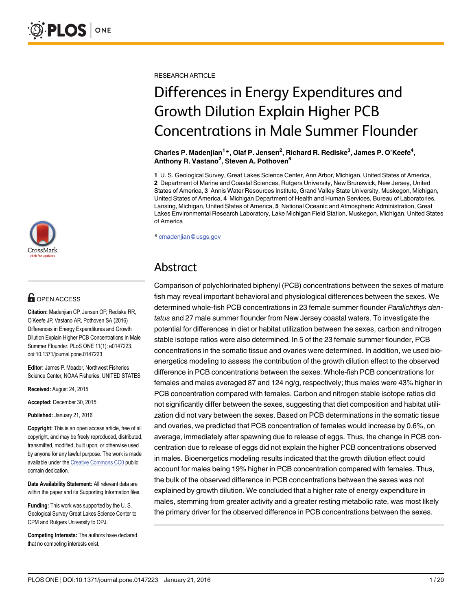

# **OPEN ACCESS**

Citation: Madenjian CP, Jensen OP, Rediske RR, O'Keefe JP, Vastano AR, Pothoven SA (2016) Differences in Energy Expenditures and Growth Dilution Explain Higher PCB Concentrations in Male Summer Flounder. PLoS ONE 11(1): e0147223. doi:10.1371/journal.pone.0147223

Editor: James P. Meador, Northwest Fisheries Science Center, NOAA Fisheries, UNITED STATES

Received: August 24, 2015

Accepted: December 30, 2015

Published: January 21, 2016

Copyright: This is an open access article, free of all copyright, and may be freely reproduced, distributed, transmitted, modified, built upon, or otherwise used by anyone for any lawful purpose. The work is made available under the [Creative Commons CC0](https://creativecommons.org/publicdomain/zero/1.0/) public domain dedication.

Data Availability Statement: All relevant data are within the paper and its Supporting Information files.

Funding: This work was supported by the U. S. Geological Survey Great Lakes Science Center to CPM and Rutgers University to OPJ.

Competing Interests: The authors have declared that no competing interests exist.

RESEARCH ARTICLE

# Differences in Energy Expenditures and Growth Dilution Explain Higher PCB Concentrations in Male Summer Flounder

Charles P. Madenjian $^{1\,*}$ , Olaf P. Jensen $^{2}$ , Richard R. Rediske $^{3}$ , James P. O'Keefe $^{4}$ , Anthony R. Vastano<sup>2</sup>, Steven A. Pothoven<sup>5</sup>

1 U. S. Geological Survey, Great Lakes Science Center, Ann Arbor, Michigan, United States of America, 2 Department of Marine and Coastal Sciences, Rutgers University, New Brunswick, New Jersey, United States of America, 3 Annis Water Resources Institute, Grand Valley State University, Muskegon, Michigan, United States of America, 4 Michigan Department of Health and Human Services, Bureau of Laboratories, Lansing, Michigan, United States of America, 5 National Oceanic and Atmospheric Administration, Great Lakes Environmental Research Laboratory, Lake Michigan Field Station, Muskegon, Michigan, United States of America

\* cmadenjian@usgs.gov

# Abstract

Comparison of polychlorinated biphenyl (PCB) concentrations between the sexes of mature fish may reveal important behavioral and physiological differences between the sexes. We determined whole-fish PCB concentrations in 23 female summer flounder Paralichthys dentatus and 27 male summer flounder from New Jersey coastal waters. To investigate the potential for differences in diet or habitat utilization between the sexes, carbon and nitrogen stable isotope ratios were also determined. In 5 of the 23 female summer flounder, PCB concentrations in the somatic tissue and ovaries were determined. In addition, we used bioenergetics modeling to assess the contribution of the growth dilution effect to the observed difference in PCB concentrations between the sexes. Whole-fish PCB concentrations for females and males averaged 87 and 124 ng/g, respectively; thus males were 43% higher in PCB concentration compared with females. Carbon and nitrogen stable isotope ratios did not significantly differ between the sexes, suggesting that diet composition and habitat utilization did not vary between the sexes. Based on PCB determinations in the somatic tissue and ovaries, we predicted that PCB concentration of females would increase by 0.6%, on average, immediately after spawning due to release of eggs. Thus, the change in PCB concentration due to release of eggs did not explain the higher PCB concentrations observed in males. Bioenergetics modeling results indicated that the growth dilution effect could account for males being 19% higher in PCB concentration compared with females. Thus, the bulk of the observed difference in PCB concentrations between the sexes was not explained by growth dilution. We concluded that a higher rate of energy expenditure in males, stemming from greater activity and a greater resting metabolic rate, was most likely the primary driver for the observed difference in PCB concentrations between the sexes.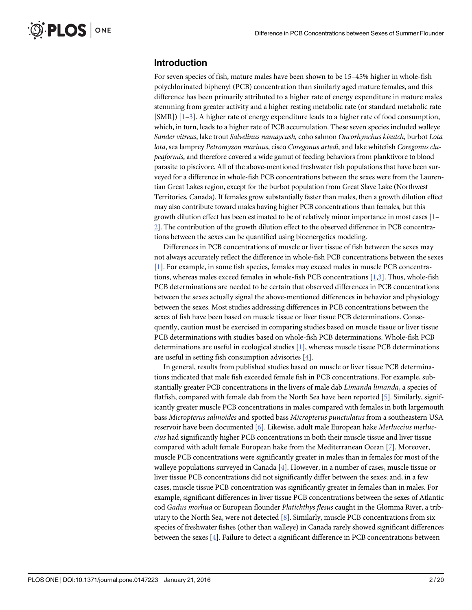# <span id="page-1-0"></span>Introduction

For seven species of fish, mature males have been shown to be 15–45% higher in whole-fish polychlorinated biphenyl (PCB) concentration than similarly aged mature females, and this difference has been primarily attributed to a higher rate of energy expenditure in mature males stemming from greater activity and a higher resting metabolic rate (or standard metabolic rate [SMR])  $[1-3]$  $[1-3]$  $[1-3]$  $[1-3]$  $[1-3]$ . A higher rate of energy expenditure leads to a higher rate of food consumption, which, in turn, leads to a higher rate of PCB accumulation. These seven species included walleye Sander vitreus, lake trout Salvelinus namaycush, coho salmon Oncorhynchus kisutch, burbot Lota lota, sea lamprey Petromyzon marinus, cisco Coregonus artedi, and lake whitefish Coregonus clupeaformis, and therefore covered a wide gamut of feeding behaviors from planktivore to blood parasite to piscivore. All of the above-mentioned freshwater fish populations that have been surveyed for a difference in whole-fish PCB concentrations between the sexes were from the Laurentian Great Lakes region, except for the burbot population from Great Slave Lake (Northwest Territories, Canada). If females grow substantially faster than males, then a growth dilution effect may also contribute toward males having higher PCB concentrations than females, but this growth dilution effect has been estimated to be of relatively minor importance in most cases [\[1](#page-16-0)– [2\]](#page-16-0). The contribution of the growth dilution effect to the observed difference in PCB concentrations between the sexes can be quantified using bioenergetics modeling.

Differences in PCB concentrations of muscle or liver tissue of fish between the sexes may not always accurately reflect the difference in whole-fish PCB concentrations between the sexes [\[1](#page-16-0)]. For example, in some fish species, females may exceed males in muscle PCB concentrations, whereas males exceed females in whole-fish PCB concentrations [[1](#page-16-0),[3](#page-16-0)]. Thus, whole-fish PCB determinations are needed to be certain that observed differences in PCB concentrations between the sexes actually signal the above-mentioned differences in behavior and physiology between the sexes. Most studies addressing differences in PCB concentrations between the sexes of fish have been based on muscle tissue or liver tissue PCB determinations. Consequently, caution must be exercised in comparing studies based on muscle tissue or liver tissue PCB determinations with studies based on whole-fish PCB determinations. Whole-fish PCB determinations are useful in ecological studies  $[1]$  $[1]$  $[1]$ , whereas muscle tissue PCB determinations are useful in setting fish consumption advisories  $[4]$ .

In general, results from published studies based on muscle or liver tissue PCB determinations indicated that male fish exceeded female fish in PCB concentrations. For example, substantially greater PCB concentrations in the livers of male dab *Limanda limanda*, a species of flatfish, compared with female dab from the North Sea have been reported [\[5\]](#page-17-0). Similarly, significantly greater muscle PCB concentrations in males compared with females in both largemouth bass Micropterus salmoides and spotted bass Micropterus punctulatus from a southeastern USA reservoir have been documented [\[6](#page-17-0)]. Likewise, adult male European hake Merluccius merluccius had significantly higher PCB concentrations in both their muscle tissue and liver tissue compared with adult female European hake from the Mediterranean Ocean [\[7\]](#page-17-0). Moreover, muscle PCB concentrations were significantly greater in males than in females for most of the walleye populations surveyed in Canada [\[4](#page-16-0)]. However, in a number of cases, muscle tissue or liver tissue PCB concentrations did not significantly differ between the sexes; and, in a few cases, muscle tissue PCB concentration was significantly greater in females than in males. For example, significant differences in liver tissue PCB concentrations between the sexes of Atlantic cod Gadus morhua or European flounder Platichthys flesus caught in the Glomma River, a tributary to the North Sea, were not detected  $[8]$  $[8]$  $[8]$ . Similarly, muscle PCB concentrations from six species of freshwater fishes (other than walleye) in Canada rarely showed significant differences between the sexes [[4](#page-16-0)]. Failure to detect a significant difference in PCB concentrations between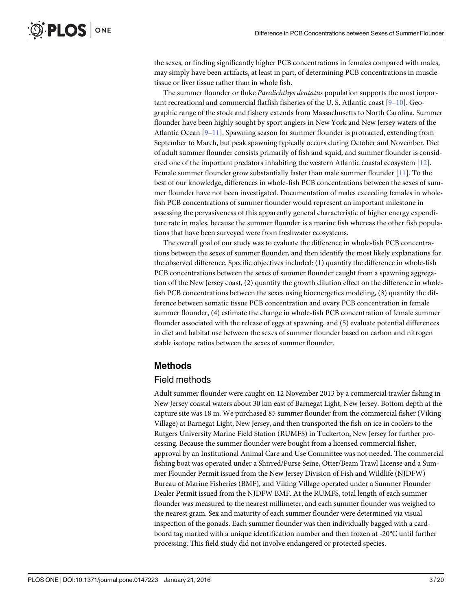<span id="page-2-0"></span>the sexes, or finding significantly higher PCB concentrations in females compared with males, may simply have been artifacts, at least in part, of determining PCB concentrations in muscle tissue or liver tissue rather than in whole fish.

The summer flounder or fluke Paralichthys dentatus population supports the most important recreational and commercial flatfish fisheries of the U. S. Atlantic coast [[9](#page-17-0)–[10](#page-17-0)]. Geographic range of the stock and fishery extends from Massachusetts to North Carolina. Summer flounder have been highly sought by sport anglers in New York and New Jersey waters of the Atlantic Ocean [\[9](#page-17-0)–[11\]](#page-17-0). Spawning season for summer flounder is protracted, extending from September to March, but peak spawning typically occurs during October and November. Diet of adult summer flounder consists primarily of fish and squid, and summer flounder is considered one of the important predators inhabiting the western Atlantic coastal ecosystem [[12](#page-17-0)]. Female summer flounder grow substantially faster than male summer flounder [\[11\]](#page-17-0). To the best of our knowledge, differences in whole-fish PCB concentrations between the sexes of summer flounder have not been investigated. Documentation of males exceeding females in wholefish PCB concentrations of summer flounder would represent an important milestone in assessing the pervasiveness of this apparently general characteristic of higher energy expenditure rate in males, because the summer flounder is a marine fish whereas the other fish populations that have been surveyed were from freshwater ecosystems.

The overall goal of our study was to evaluate the difference in whole-fish PCB concentrations between the sexes of summer flounder, and then identify the most likely explanations for the observed difference. Specific objectives included: (1) quantify the difference in whole-fish PCB concentrations between the sexes of summer flounder caught from a spawning aggregation off the New Jersey coast, (2) quantify the growth dilution effect on the difference in wholefish PCB concentrations between the sexes using bioenergetics modeling, (3) quantify the difference between somatic tissue PCB concentration and ovary PCB concentration in female summer flounder, (4) estimate the change in whole-fish PCB concentration of female summer flounder associated with the release of eggs at spawning, and (5) evaluate potential differences in diet and habitat use between the sexes of summer flounder based on carbon and nitrogen stable isotope ratios between the sexes of summer flounder.

#### Methods

#### Field methods

Adult summer flounder were caught on 12 November 2013 by a commercial trawler fishing in New Jersey coastal waters about 30 km east of Barnegat Light, New Jersey. Bottom depth at the capture site was 18 m. We purchased 85 summer flounder from the commercial fisher (Viking Village) at Barnegat Light, New Jersey, and then transported the fish on ice in coolers to the Rutgers University Marine Field Station (RUMFS) in Tuckerton, New Jersey for further processing. Because the summer flounder were bought from a licensed commercial fisher, approval by an Institutional Animal Care and Use Committee was not needed. The commercial fishing boat was operated under a Shirred/Purse Seine, Otter/Beam Trawl License and a Summer Flounder Permit issued from the New Jersey Division of Fish and Wildlife (NJDFW) Bureau of Marine Fisheries (BMF), and Viking Village operated under a Summer Flounder Dealer Permit issued from the NJDFW BMF. At the RUMFS, total length of each summer flounder was measured to the nearest millimeter, and each summer flounder was weighed to the nearest gram. Sex and maturity of each summer flounder were determined via visual inspection of the gonads. Each summer flounder was then individually bagged with a cardboard tag marked with a unique identification number and then frozen at -20°C until further processing. This field study did not involve endangered or protected species.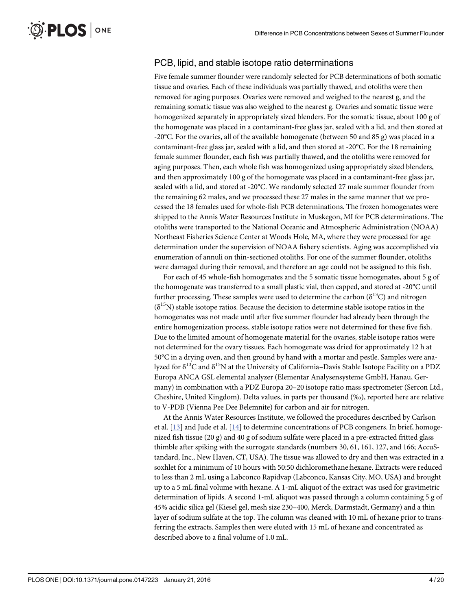# <span id="page-3-0"></span>PCB, lipid, and stable isotope ratio determinations

Five female summer flounder were randomly selected for PCB determinations of both somatic tissue and ovaries. Each of these individuals was partially thawed, and otoliths were then removed for aging purposes. Ovaries were removed and weighed to the nearest g, and the remaining somatic tissue was also weighed to the nearest g. Ovaries and somatic tissue were homogenized separately in appropriately sized blenders. For the somatic tissue, about 100 g of the homogenate was placed in a contaminant-free glass jar, sealed with a lid, and then stored at -20°C. For the ovaries, all of the available homogenate (between 50 and 85 g) was placed in a contaminant-free glass jar, sealed with a lid, and then stored at -20°C. For the 18 remaining female summer flounder, each fish was partially thawed, and the otoliths were removed for aging purposes. Then, each whole fish was homogenized using appropriately sized blenders, and then approximately 100 g of the homogenate was placed in a contaminant-free glass jar, sealed with a lid, and stored at -20°C. We randomly selected 27 male summer flounder from the remaining 62 males, and we processed these 27 males in the same manner that we processed the 18 females used for whole-fish PCB determinations. The frozen homogenates were shipped to the Annis Water Resources Institute in Muskegon, MI for PCB determinations. The otoliths were transported to the National Oceanic and Atmospheric Administration (NOAA) Northeast Fisheries Science Center at Woods Hole, MA, where they were processed for age determination under the supervision of NOAA fishery scientists. Aging was accomplished via enumeration of annuli on thin-sectioned otoliths. For one of the summer flounder, otoliths were damaged during their removal, and therefore an age could not be assigned to this fish.

For each of 45 whole-fish homogenates and the 5 somatic tissue homogenates, about 5 g of the homogenate was transferred to a small plastic vial, then capped, and stored at -20°C until further processing. These samples were used to determine the carbon ( $\delta^{13}$ C) and nitrogen  $(\delta^{15}N)$  stable isotope ratios. Because the decision to determine stable isotope ratios in the homogenates was not made until after five summer flounder had already been through the entire homogenization process, stable isotope ratios were not determined for these five fish. Due to the limited amount of homogenate material for the ovaries, stable isotope ratios were not determined for the ovary tissues. Each homogenate was dried for approximately 12 h at 50°C in a drying oven, and then ground by hand with a mortar and pestle. Samples were analyzed for δ<sup>13</sup>C and δ<sup>15</sup>N at the University of California–Davis Stable Isotope Facility on a PDZ Europa ANCA GSL elemental analyzer (Elementar Analysensysteme GmbH, Hanau, Germany) in combination with a PDZ Europa 20–20 isotope ratio mass spectrometer (Sercon Ltd., Cheshire, United Kingdom). Delta values, in parts per thousand (‰), reported here are relative to V-PDB (Vienna Pee Dee Belemnite) for carbon and air for nitrogen.

At the Annis Water Resources Institute, we followed the procedures described by Carlson et al.  $[13]$  and Jude et al.  $[14]$  $[14]$  $[14]$  to determine concentrations of PCB congeners. In brief, homogenized fish tissue (20 g) and 40 g of sodium sulfate were placed in a pre-extracted fritted glass thimble after spiking with the surrogate standards (numbers 30, 61, 161, 127, and 166; AccuStandard, Inc., New Haven, CT, USA). The tissue was allowed to dry and then was extracted in a soxhlet for a minimum of 10 hours with 50:50 dichloromethane:hexane. Extracts were reduced to less than 2 mL using a Labconco Rapidvap (Labconco, Kansas City, MO, USA) and brought up to a 5 mL final volume with hexane. A 1-mL aliquot of the extract was used for gravimetric determination of lipids. A second 1-mL aliquot was passed through a column containing 5 g of 45% acidic silica gel (Kiesel gel, mesh size 230–400, Merck, Darmstadt, Germany) and a thin layer of sodium sulfate at the top. The column was cleaned with 10 mL of hexane prior to transferring the extracts. Samples then were eluted with 15 mL of hexane and concentrated as described above to a final volume of 1.0 mL.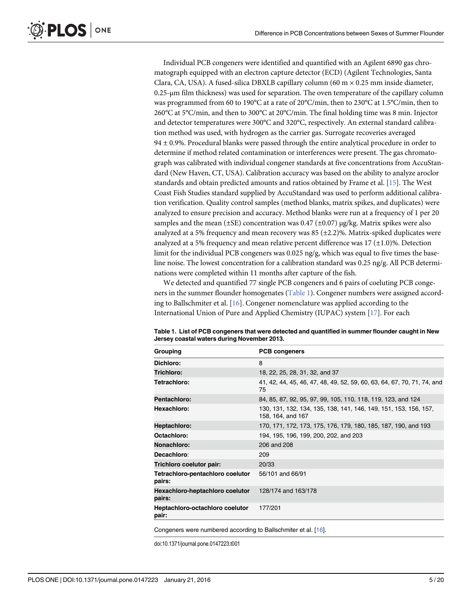Individual PCB congeners were identified and quantified with an Agilent 6890 gas chromatograph equipped with an electron capture detector (ECD) (Agilent Technologies, Santa Clara, CA, USA). A fused-silica DBXLB capillary column (60 m  $\times$  0.25 mm inside diameter, 0.25-μm film thickness) was used for separation. The oven temperature of the capillary column was programmed from 60 to 190°C at a rate of 20°C/min, then to 230°C at 1.5°C/min, then to 260°C at 5°C/min, and then to 300°C at 20°C/min. The final holding time was 8 min. Injector and detector temperatures were 300°C and 320°C, respectively. An external standard calibration method was used, with hydrogen as the carrier gas. Surrogate recoveries averaged  $94 \pm 0.9$ %. Procedural blanks were passed through the entire analytical procedure in order to determine if method related contamination or interferences were present. The gas chromatograph was calibrated with individual congener standards at five concentrations from AccuStandard (New Haven, CT, USA). Calibration accuracy was based on the ability to analyze aroclor standards and obtain predicted amounts and ratios obtained by Frame et al. [[15](#page-17-0)]. The West Coast Fish Studies standard supplied by AccuStandard was used to perform additional calibration verification. Quality control samples (method blanks, matrix spikes, and duplicates) were analyzed to ensure precision and accuracy. Method blanks were run at a frequency of 1 per 20 samples and the mean (±SE) concentration was 0.47 (±0.07) μg/kg. Matrix spikes were also analyzed at a 5% frequency and mean recovery was  $85 (\pm 2.2)$ %. Matrix-spiked duplicates were analyzed at a 5% frequency and mean relative percent difference was  $17 (\pm 1.0)$ %. Detection limit for the individual PCB congeners was  $0.025$  ng/g, which was equal to five times the baseline noise. The lowest concentration for a calibration standard was 0.25 ng/g. All PCB determinations were completed within 11 months after capture of the fish.

We detected and quantified 77 single PCB congeners and 6 pairs of coeluting PCB congeners in the summer flounder homogenates (Table 1). Congener numbers were assigned according to Ballschmiter et al. [\[16\]](#page-17-0). Congener nomenclature was applied according to the International Union of Pure and Applied Chemistry (IUPAC) system [\[17\]](#page-17-0). For each

| Grouping                                   | <b>PCB congeners</b>                                                                  |  |
|--------------------------------------------|---------------------------------------------------------------------------------------|--|
| Dichloro:                                  | 8                                                                                     |  |
| Trichloro:                                 | 18, 22, 25, 28, 31, 32, and 37                                                        |  |
| Tetrachloro:                               | 41, 42, 44, 45, 46, 47, 48, 49, 52, 59, 60, 63, 64, 67, 70, 71, 74, and<br>75         |  |
| Pentachloro:                               | 84, 85, 87, 92, 95, 97, 99, 105, 110, 118, 119, 123, and 124                          |  |
| Hexachloro:                                | 130, 131, 132, 134, 135, 138, 141, 146, 149, 151, 153, 156, 157,<br>158, 164, and 167 |  |
| Heptachloro:                               | 170, 171, 172, 173, 175, 176, 179, 180, 185, 187, 190, and 193                        |  |
| Octachloro:                                | 194, 195, 196, 199, 200, 202, and 203                                                 |  |
| Nonachloro:                                | 206 and 208                                                                           |  |
| Decachloro:                                | 209                                                                                   |  |
| Trichloro coelutor pair:                   | 20/33                                                                                 |  |
| Tetrachloro-pentachloro coelutor<br>pairs: | 56/101 and 66/91                                                                      |  |
| Hexachloro-heptachloro coelutor<br>pairs:  | 128/174 and 163/178                                                                   |  |
| Heptachloro-octachloro coelutor<br>pair:   | 177/201                                                                               |  |
|                                            |                                                                                       |  |

Table 1. List of PCB congeners that were detected and quantified in summer flounder caught in New Jersey coastal waters during November 2013.

Congeners were numbered according to Ballschmiter et al. [\[16](#page-17-0)].

doi:10.1371/journal.pone.0147223.t001

<span id="page-4-0"></span>**PLOS I** 

ONE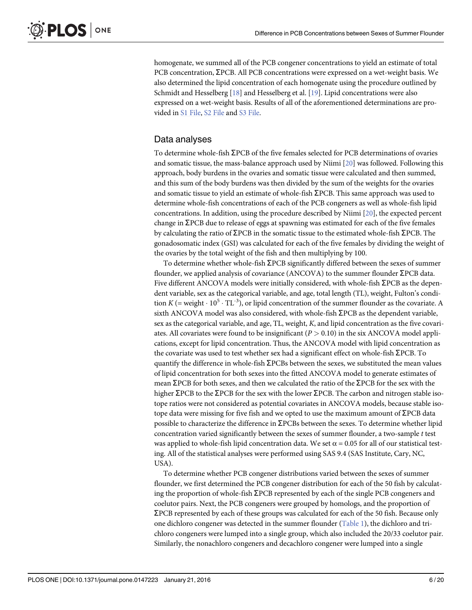<span id="page-5-0"></span>homogenate, we summed all of the PCB congener concentrations to yield an estimate of total PCB concentration,  $\Sigma$ PCB. All PCB concentrations were expressed on a wet-weight basis. We also determined the lipid concentration of each homogenate using the procedure outlined by Schmidt and Hesselberg [\[18\]](#page-17-0) and Hesselberg et al. [\[19\]](#page-17-0). Lipid concentrations were also expressed on a wet-weight basis. Results of all of the aforementioned determinations are provided in [S1 File](#page-16-0), [S2 File](#page-16-0) and [S3 File.](#page-16-0)

#### Data analyses

To determine whole-fish  $\Sigma$ PCB of the five females selected for PCB determinations of ovaries and somatic tissue, the mass-balance approach used by Niimi [\[20\]](#page-17-0) was followed. Following this approach, body burdens in the ovaries and somatic tissue were calculated and then summed, and this sum of the body burdens was then divided by the sum of the weights for the ovaries and somatic tissue to yield an estimate of whole-fish  $\Sigma$ PCB. This same approach was used to determine whole-fish concentrations of each of the PCB congeners as well as whole-fish lipid concentrations. In addition, using the procedure described by Niimi [\[20\]](#page-17-0), the expected percent change in  $\Sigma$ PCB due to release of eggs at spawning was estimated for each of the five females by calculating the ratio of  $\Sigma$ PCB in the somatic tissue to the estimated whole-fish  $\Sigma$ PCB. The gonadosomatic index (GSI) was calculated for each of the five females by dividing the weight of the ovaries by the total weight of the fish and then multiplying by 100.

To determine whether whole-fish  $\Sigma$ PCB significantly differed between the sexes of summer flounder, we applied analysis of covariance (ANCOVA) to the summer flounder  $\Sigma$ PCB data. Five different ANCOVA models were initially considered, with whole-fish ΣPCB as the dependent variable, sex as the categorical variable, and age, total length (TL), weight, Fulton's condition K (= weight  $\cdot 10^5 \cdot TL^{-3}$ ), or lipid concentration of the summer flounder as the covariate. A sixth ANCOVA model was also considered, with whole-fish  $\Sigma$ PCB as the dependent variable, sex as the categorical variable, and age, TL, weight, K, and lipid concentration as the five covariates. All covariates were found to be insignificant ( $P > 0.10$ ) in the six ANCOVA model applications, except for lipid concentration. Thus, the ANCOVA model with lipid concentration as the covariate was used to test whether sex had a significant effect on whole-fish  $\Sigma$ PCB. To quantify the difference in whole-fish  $\Sigma$ PCBs between the sexes, we substituted the mean values of lipid concentration for both sexes into the fitted ANCOVA model to generate estimates of mean  $\Sigma$ PCB for both sexes, and then we calculated the ratio of the  $\Sigma$ PCB for the sex with the higher  $\Sigma$ PCB to the  $\Sigma$ PCB for the sex with the lower  $\Sigma$ PCB. The carbon and nitrogen stable isotope ratios were not considered as potential covariates in ANCOVA models, because stable isotope data were missing for five fish and we opted to use the maximum amount of  $\Sigma$ PCB data possible to characterize the difference in  $\Sigma$ PCBs between the sexes. To determine whether lipid concentration varied significantly between the sexes of summer flounder, a two-sample t test was applied to whole-fish lipid concentration data. We set  $\alpha$  = 0.05 for all of our statistical testing. All of the statistical analyses were performed using SAS 9.4 (SAS Institute, Cary, NC, USA).

To determine whether PCB congener distributions varied between the sexes of summer flounder, we first determined the PCB congener distribution for each of the 50 fish by calculating the proportion of whole-fish  $\Sigma$ PCB represented by each of the single PCB congeners and coelutor pairs. Next, the PCB congeners were grouped by homologs, and the proportion of  $\Sigma$ PCB represented by each of these groups was calculated for each of the 50 fish. Because only one dichloro congener was detected in the summer flounder [\(Table 1\)](#page-4-0), the dichloro and trichloro congeners were lumped into a single group, which also included the 20/33 coelutor pair. Similarly, the nonachloro congeners and decachloro congener were lumped into a single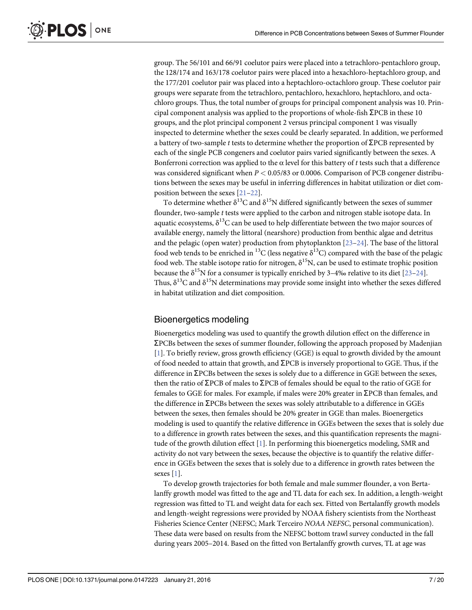<span id="page-6-0"></span>group. The 56/101 and 66/91 coelutor pairs were placed into a tetrachloro-pentachloro group, the 128/174 and 163/178 coelutor pairs were placed into a hexachloro-heptachloro group, and the 177/201 coelutor pair was placed into a heptachloro-octachloro group. These coelutor pair groups were separate from the tetrachloro, pentachloro, hexachloro, heptachloro, and octachloro groups. Thus, the total number of groups for principal component analysis was 10. Principal component analysis was applied to the proportions of whole-fish  $\Sigma$ PCB in these 10 groups, and the plot principal component 2 versus principal component 1 was visually inspected to determine whether the sexes could be clearly separated. In addition, we performed a battery of two-sample t tests to determine whether the proportion of  $\Sigma$ PCB represented by each of the single PCB congeners and coelutor pairs varied significantly between the sexes. A Bonferroni correction was applied to the  $\alpha$  level for this battery of t tests such that a difference was considered significant when  $P < 0.05/83$  or 0.0006. Comparison of PCB congener distributions between the sexes may be useful in inferring differences in habitat utilization or diet composition between the sexes [\[21](#page-17-0)–[22\]](#page-17-0).

To determine whether  $\delta^{13}C$  and  $\delta^{15}N$  differed significantly between the sexes of summer flounder, two-sample  $t$  tests were applied to the carbon and nitrogen stable isotope data. In aquatic ecosystems,  $\delta^{13}$ C can be used to help differentiate between the two major sources of available energy, namely the littoral (nearshore) production from benthic algae and detritus and the pelagic (open water) production from phytoplankton [\[23](#page-17-0)–[24](#page-17-0)]. The base of the littoral food web tends to be enriched in <sup>13</sup>C (less negative  $\delta^{13}$ C) compared with the base of the pelagic food web. The stable isotope ratio for nitrogen,  $\delta^{15}N$ , can be used to estimate trophic position because the  $\delta^{15}N$  for a consumer is typically enriched by 3–4‰ relative to its diet [\[23](#page-17-0)–[24](#page-17-0)]. Thus,  $\delta^{13}C$  and  $\delta^{15}N$  determinations may provide some insight into whether the sexes differed in habitat utilization and diet composition.

# Bioenergetics modeling

Bioenergetics modeling was used to quantify the growth dilution effect on the difference in  $\Sigma$ PCBs between the sexes of summer flounder, following the approach proposed by Madenjian [\[1](#page-16-0)]. To briefly review, gross growth efficiency (GGE) is equal to growth divided by the amount of food needed to attain that growth, and  $\Sigma$ PCB is inversely proportional to GGE. Thus, if the difference in  $\Sigma$ PCBs between the sexes is solely due to a difference in GGE between the sexes, then the ratio of  $\Sigma$ PCB of males to  $\Sigma$ PCB of females should be equal to the ratio of GGE for females to GGE for males. For example, if males were 20% greater in  $\Sigma$ PCB than females, and the difference in  $\Sigma$ PCBs between the sexes was solely attributable to a difference in GGEs between the sexes, then females should be 20% greater in GGE than males. Bioenergetics modeling is used to quantify the relative difference in GGEs between the sexes that is solely due to a difference in growth rates between the sexes, and this quantification represents the magnitude of the growth dilution effect [[1\]](#page-16-0). In performing this bioenergetics modeling, SMR and activity do not vary between the sexes, because the objective is to quantify the relative difference in GGEs between the sexes that is solely due to a difference in growth rates between the sexes [[1\]](#page-16-0).

To develop growth trajectories for both female and male summer flounder, a von Bertalanffy growth model was fitted to the age and TL data for each sex. In addition, a length-weight regression was fitted to TL and weight data for each sex. Fitted von Bertalanffy growth models and length-weight regressions were provided by NOAA fishery scientists from the Northeast Fisheries Science Center (NEFSC; Mark Terceiro NOAA NEFSC, personal communication). These data were based on results from the NEFSC bottom trawl survey conducted in the fall during years 2005–2014. Based on the fitted von Bertalanffy growth curves, TL at age was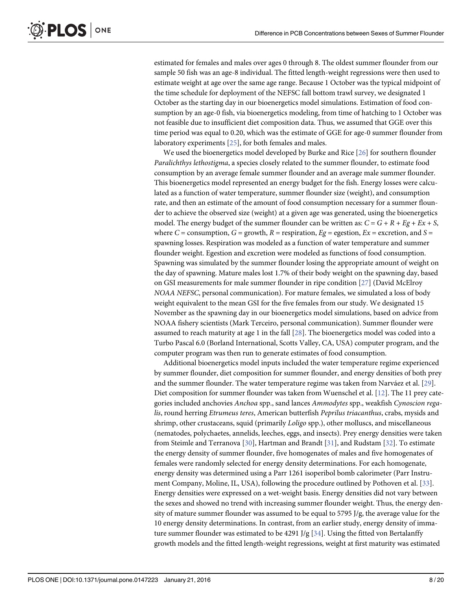<span id="page-7-0"></span>estimated for females and males over ages 0 through 8. The oldest summer flounder from our sample 50 fish was an age-8 individual. The fitted length-weight regressions were then used to estimate weight at age over the same age range. Because 1 October was the typical midpoint of the time schedule for deployment of the NEFSC fall bottom trawl survey, we designated 1 October as the starting day in our bioenergetics model simulations. Estimation of food consumption by an age-0 fish, via bioenergetics modeling, from time of hatching to 1 October was not feasible due to insufficient diet composition data. Thus, we assumed that GGE over this time period was equal to 0.20, which was the estimate of GGE for age-0 summer flounder from laboratory experiments [[25\]](#page-17-0), for both females and males.

We used the bioenergetics model developed by Burke and Rice [\[26\]](#page-18-0) for southern flounder Paralichthys lethostigma, a species closely related to the summer flounder, to estimate food consumption by an average female summer flounder and an average male summer flounder. This bioenergetics model represented an energy budget for the fish. Energy losses were calculated as a function of water temperature, summer flounder size (weight), and consumption rate, and then an estimate of the amount of food consumption necessary for a summer flounder to achieve the observed size (weight) at a given age was generated, using the bioenergetics model. The energy budget of the summer flounder can be written as:  $C = G + R + Eg + Ex + S$ , where  $C =$  consumption,  $G =$  growth,  $R =$  respiration,  $Eg =$  egestion,  $Ex =$  excretion, and  $S =$ spawning losses. Respiration was modeled as a function of water temperature and summer flounder weight. Egestion and excretion were modeled as functions of food consumption. Spawning was simulated by the summer flounder losing the appropriate amount of weight on the day of spawning. Mature males lost 1.7% of their body weight on the spawning day, based on GSI measurements for male summer flounder in ripe condition [[27](#page-18-0)] (David McElroy NOAA NEFSC, personal communication). For mature females, we simulated a loss of body weight equivalent to the mean GSI for the five females from our study. We designated 15 November as the spawning day in our bioenergetics model simulations, based on advice from NOAA fishery scientists (Mark Terceiro, personal communication). Summer flounder were assumed to reach maturity at age 1 in the fall [\[28\]](#page-18-0). The bioenergetics model was coded into a Turbo Pascal 6.0 (Borland International, Scotts Valley, CA, USA) computer program, and the computer program was then run to generate estimates of food consumption.

Additional bioenergetics model inputs included the water temperature regime experienced by summer flounder, diet composition for summer flounder, and energy densities of both prey and the summer flounder. The water temperature regime was taken from Narváez et al. [\[29\]](#page-18-0). Diet composition for summer flounder was taken from Wuenschel et al. [[12\]](#page-17-0). The 11 prey categories included anchovies Anchoa spp., sand lances Ammodytes spp., weakfish Cynoscion regalis, round herring Etrumeus teres, American butterfish Peprilus triacanthus, crabs, mysids and shrimp, other crustaceans, squid (primarily Loligo spp.), other molluscs, and miscellaneous (nematodes, polychaetes, annelids, leeches, eggs, and insects). Prey energy densities were taken from Steimle and Terranova [[30](#page-18-0)], Hartman and Brandt [\[31\]](#page-18-0), and Rudstam [\[32\]](#page-18-0). To estimate the energy density of summer flounder, five homogenates of males and five homogenates of females were randomly selected for energy density determinations. For each homogenate, energy density was determined using a Parr 1261 isoperibol bomb calorimeter (Parr Instrument Company, Moline, IL, USA), following the procedure outlined by Pothoven et al. [[33](#page-18-0)]. Energy densities were expressed on a wet-weight basis. Energy densities did not vary between the sexes and showed no trend with increasing summer flounder weight. Thus, the energy density of mature summer flounder was assumed to be equal to 5795 J/g, the average value for the 10 energy density determinations. In contrast, from an earlier study, energy density of immature summer flounder was estimated to be 4291 J/g  $[34]$  $[34]$ . Using the fitted von Bertalanffy growth models and the fitted length-weight regressions, weight at first maturity was estimated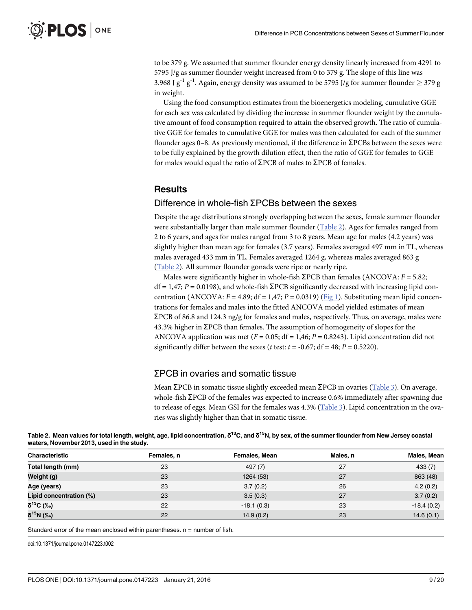<span id="page-8-0"></span>to be 379 g. We assumed that summer flounder energy density linearly increased from 4291 to 5795 J/g as summer flounder weight increased from 0 to 379 g. The slope of this line was 3.968 J  $g^{-1} g^{-1}$ . Again, energy density was assumed to be 5795 J/g for summer flounder  $\geq$  379 g in weight.

Using the food consumption estimates from the bioenergetics modeling, cumulative GGE for each sex was calculated by dividing the increase in summer flounder weight by the cumulative amount of food consumption required to attain the observed growth. The ratio of cumulative GGE for females to cumulative GGE for males was then calculated for each of the summer flounder ages 0–8. As previously mentioned, if the difference in  $\Sigma$ PCBs between the sexes were to be fully explained by the growth dilution effect, then the ratio of GGE for females to GGE for males would equal the ratio of  $\Sigma$ PCB of males to  $\Sigma$ PCB of females.

#### **Results**

# $D$ ifference in whole-fish  $\Sigma$ PCBs between the sexes

Despite the age distributions strongly overlapping between the sexes, female summer flounder were substantially larger than male summer flounder (Table 2). Ages for females ranged from 2 to 6 years, and ages for males ranged from 3 to 8 years. Mean age for males (4.2 years) was slightly higher than mean age for females (3.7 years). Females averaged 497 mm in TL, whereas males averaged 433 mm in TL. Females averaged 1264 g, whereas males averaged 863 g (Table 2). All summer flounder gonads were ripe or nearly ripe.

Males were significantly higher in whole-fish  $\Sigma$ PCB than females (ANCOVA:  $F = 5.82$ ;  $df = 1.47$ ;  $P = 0.0198$ ), and whole-fish  $\Sigma PCB$  significantly decreased with increasing lipid concentration (ANCOVA:  $F = 4.89$ ; df = 1,47; P = 0.0319) [\(Fig 1\)](#page-9-0). Substituting mean lipid concentrations for females and males into the fitted ANCOVA model yielded estimates of mean  $\Sigma$ PCB of 86.8 and 124.3 ng/g for females and males, respectively. Thus, on average, males were  $43.3\%$  higher in  $\Sigma$ PCB than females. The assumption of homogeneity of slopes for the ANCOVA application was met ( $F = 0.05$ ; df = 1,46; P = 0.8243). Lipid concentration did not significantly differ between the sexes (*t* test:  $t = -0.67$ ; df = 48;  $P = 0.5220$ ).

#### ƩPCB in ovaries and somatic tissue

Mean  $\Sigma$ PCB in somatic tissue slightly exceeded mean  $\Sigma$ PCB in ovaries ([Table 3\)](#page-10-0). On average, whole-fish  $\Sigma$ PCB of the females was expected to increase 0.6% immediately after spawning due to release of eggs. Mean GSI for the females was 4.3% ([Table 3\)](#page-10-0). Lipid concentration in the ovaries was slightly higher than that in somatic tissue.

| Table 2. Mean values for total length, weight, age, lipid concentration, $\rm 5^{13}C$ , and $\rm 5^{15}N$ , by sex, of the summer flounder from New Jersey coastal |  |
|---------------------------------------------------------------------------------------------------------------------------------------------------------------------|--|
| waters, November 2013, used in the study.                                                                                                                           |  |
|                                                                                                                                                                     |  |

| Characteristic          | Females, n | Females, Mean | Males, n | Males, Mean  |
|-------------------------|------------|---------------|----------|--------------|
| Total length (mm)       | 23         | 497 (7)       | 27       | 433(7)       |
| Weight (g)              | 23         | 1264 (53)     | 27       | 863 (48)     |
| Age (years)             | 23         | 3.7(0.2)      | 26       | 4.2(0.2)     |
| Lipid concentration (%) | 23         | 3.5(0.3)      | 27       | 3.7(0.2)     |
| $δ^{13}C$ (‰)           | 22         | $-18.1(0.3)$  | 23       | $-18.4(0.2)$ |
| δ <sup>15</sup> Ν (‰)   | 22         | 14.9(0.2)     | 23       | 14.6(0.1)    |

Standard error of the mean enclosed within parentheses.  $n =$  number of fish.

doi:10.1371/journal.pone.0147223.t002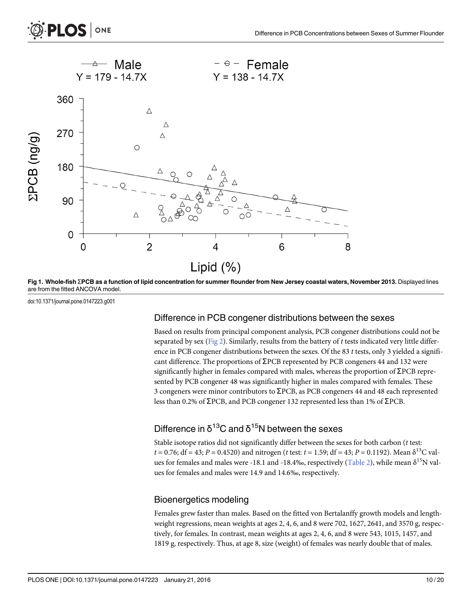8

<span id="page-9-0"></span>

[Fig 1. W](#page-8-0)hole-fish  $\Sigma$ PCB as a function of lipid concentration for summer flounder from New Jersey coastal waters, November 2013. Displayed lines are from the fitted ANCOVA model.

doi:10.1371/journal.pone.0147223.g001

#### Difference in PCB congener distributions between the sexes

Based on results from principal component analysis, PCB congener distributions could not be separated by sex [\(Fig 2](#page-10-0)). Similarly, results from the battery of t tests indicated very little difference in PCB congener distributions between the sexes. Of the 83  $t$  tests, only 3 yielded a significant difference. The proportions of  $\Sigma$ PCB represented by PCB congeners 44 and 132 were significantly higher in females compared with males, whereas the proportion of  $\Sigma$ PCB represented by PCB congener 48 was significantly higher in males compared with females. These 3 congeners were minor contributors to  $\Sigma$ PCB, as PCB congeners 44 and 48 each represented less than 0.2% of  $\Sigma$ PCB, and PCB congener 132 represented less than 1% of  $\Sigma$ PCB.

# Difference in  $\delta^{13}$ C and  $\delta^{15}$ N between the sexes

Stable isotope ratios did not significantly differ between the sexes for both carbon (t test:  $t = 0.76$ ; df = 43; P = 0.4520) and nitrogen (t test: t = 1.59; df = 43; P = 0.1192). Mean  $\delta^{13}$ C val-ues for females and males were -18.1 and -18.4‰, respectively [\(Table 2](#page-8-0)), while mean  $\delta^{15}N$  values for females and males were 14.9 and 14.6‰, respectively.

#### Bioenergetics modeling

Females grew faster than males. Based on the fitted von Bertalanffy growth models and lengthweight regressions, mean weights at ages 2, 4, 6, and 8 were 702, 1627, 2641, and 3570 g, respectively, for females. In contrast, mean weights at ages 2, 4, 6, and 8 were 543, 1015, 1457, and 1819 g, respectively. Thus, at age 8, size (weight) of females was nearly double that of males.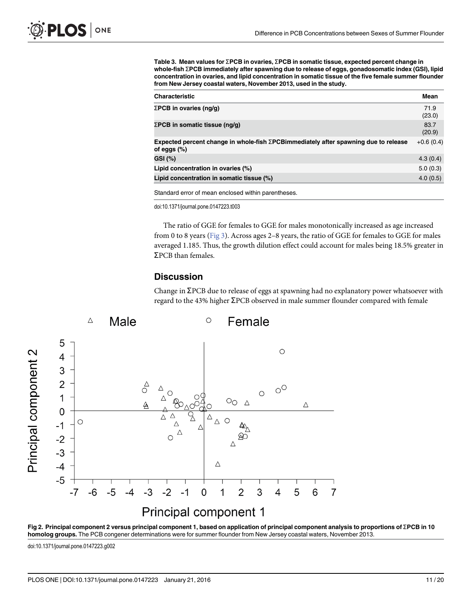<span id="page-10-0"></span>[Table 3.](#page-8-0) Mean values for  $\Sigma$ PCB in ovaries,  $\Sigma$ PCB in somatic tissue, expected percent change in whole-fish ΣPCB immediately after spawning due to release of eggs, gonadosomatic index (GSI), lipid concentration in ovaries, and lipid concentration in somatic tissue of the five female summer flounder from New Jersey coastal waters, November 2013, used in the study.

| <b>Characteristic</b>                                                                                          | Mean           |
|----------------------------------------------------------------------------------------------------------------|----------------|
| $\Sigma$ PCB in ovaries (ng/g)                                                                                 | 71.9<br>(23.0) |
| $\Sigma$ PCB in somatic tissue (ng/g)                                                                          | 83.7<br>(20.9) |
| Expected percent change in whole-fish $\Sigma$ PCB immediately after spawning due to release<br>of eggs $(\%)$ | $+0.6(0.4)$    |
| GSI (%)                                                                                                        | 4.3(0.4)       |
| Lipid concentration in ovaries (%)                                                                             | 5.0(0.3)       |
| Lipid concentration in somatic tissue (%)                                                                      | 4.0(0.5)       |

Standard error of mean enclosed within parentheses.

doi:10.1371/journal.pone.0147223.t003

The ratio of GGE for females to GGE for males monotonically increased as age increased from 0 to 8 years [\(Fig 3\)](#page-11-0). Across ages 2–8 years, the ratio of GGE for females to GGE for males averaged 1.185. Thus, the growth dilution effect could account for males being 18.5% greater in  $\Sigma$ PCB than females.

#### **Discussion**

Change in  $\Sigma$ PCB due to release of eggs at spawning had no explanatory power whatsoever with regard to the 43% higher  $\Sigma$ PCB observed in male summer flounder compared with female



[Fig 2. P](#page-9-0)rincipal component 2 versus principal component 1, based on application of principal component analysis to proportions of  $\Sigma$ PCB in 10 homolog groups. The PCB congener determinations were for summer flounder from New Jersey coastal waters, November 2013.

doi:10.1371/journal.pone.0147223.g002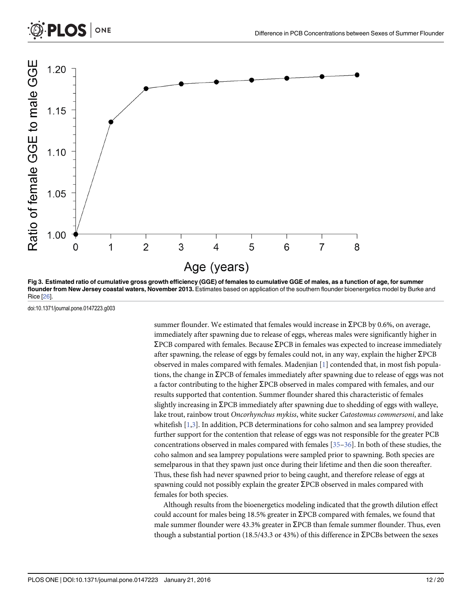<span id="page-11-0"></span>

[Fig 3. E](#page-10-0)stimated ratio of cumulative gross growth efficiency (GGE) of females to cumulative GGE of males, as a function of age, for summer flounder from New Jersey coastal waters, November 2013. Estimates based on application of the southern flounder bioenergetics model by Burke and Rice [[26\]](#page-18-0).

doi:10.1371/journal.pone.0147223.g003

summer flounder. We estimated that females would increase in  $\Sigma$ PCB by 0.6%, on average, immediately after spawning due to release of eggs, whereas males were significantly higher in  $\Sigma$ PCB compared with females. Because  $\Sigma$ PCB in females was expected to increase immediately after spawning, the release of eggs by females could not, in any way, explain the higher  $\Sigma$ PCB observed in males compared with females. Madenjian  $[1]$  $[1]$  contended that, in most fish populations, the change in  $\Sigma$ PCB of females immediately after spawning due to release of eggs was not a factor contributing to the higher  $\Sigma$ PCB observed in males compared with females, and our results supported that contention. Summer flounder shared this characteristic of females slightly increasing in  $\Sigma$ PCB immediately after spawning due to shedding of eggs with walleye, lake trout, rainbow trout Oncorhynchus mykiss, white sucker Catostomus commersoni, and lake whitefish [[1,3\]](#page-16-0). In addition, PCB determinations for coho salmon and sea lamprey provided further support for the contention that release of eggs was not responsible for the greater PCB concentrations observed in males compared with females  $[35-36]$  $[35-36]$  $[35-36]$  $[35-36]$  $[35-36]$ . In both of these studies, the coho salmon and sea lamprey populations were sampled prior to spawning. Both species are semelparous in that they spawn just once during their lifetime and then die soon thereafter. Thus, these fish had never spawned prior to being caught, and therefore release of eggs at spawning could not possibly explain the greater  $\Sigma$ PCB observed in males compared with females for both species.

Although results from the bioenergetics modeling indicated that the growth dilution effect could account for males being 18.5% greater in  $\Sigma$ PCB compared with females, we found that male summer flounder were 43.3% greater in  $\Sigma$ PCB than female summer flounder. Thus, even though a substantial portion (18.5/43.3 or 43%) of this difference in  $\Sigma$ PCBs between the sexes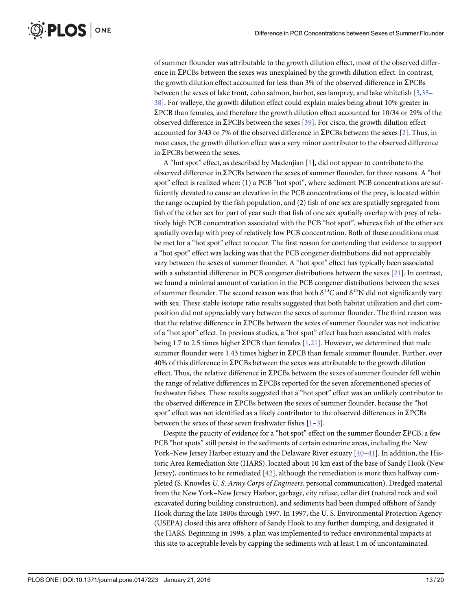<span id="page-12-0"></span>of summer flounder was attributable to the growth dilution effect, most of the observed difference in  $\Sigma$ PCBs between the sexes was unexplained by the growth dilution effect. In contrast, the growth dilution effect accounted for less than 3% of the observed difference in  $\Sigma$ PCBs between the sexes of lake trout, coho salmon, burbot, sea lamprey, and lake whitefish [\[3,](#page-16-0)[35](#page-18-0)-[38\]](#page-18-0). For walleye, the growth dilution effect could explain males being about 10% greater in  $\Sigma$ PCB than females, and therefore the growth dilution effect accounted for 10/34 or 29% of the observed difference in  $\Sigma$ PCBs between the sexes [[39\]](#page-18-0). For cisco, the growth dilution effect accounted for 3/43 or 7% of the observed difference in  $\Sigma$ PCBs between the sexes [[2\]](#page-16-0). Thus, in most cases, the growth dilution effect was a very minor contributor to the observed difference in  $\Sigma$ PCBs between the sexes.

A "hot spot" effect, as described by Madenjian [\[1\]](#page-16-0), did not appear to contribute to the observed difference in  $\Sigma$ PCBs between the sexes of summer flounder, for three reasons. A "hot spot" effect is realized when: (1) a PCB "hot spot", where sediment PCB concentrations are sufficiently elevated to cause an elevation in the PCB concentrations of the prey, is located within the range occupied by the fish population, and (2) fish of one sex are spatially segregated from fish of the other sex for part of year such that fish of one sex spatially overlap with prey of relatively high PCB concentration associated with the PCB "hot spot", whereas fish of the other sex spatially overlap with prey of relatively low PCB concentration. Both of these conditions must be met for a "hot spot" effect to occur. The first reason for contending that evidence to support a "hot spot" effect was lacking was that the PCB congener distributions did not appreciably vary between the sexes of summer flounder. A "hot spot" effect has typically been associated with a substantial difference in PCB congener distributions between the sexes [[21](#page-17-0)]. In contrast, we found a minimal amount of variation in the PCB congener distributions between the sexes of summer flounder. The second reason was that both  $\delta^{13}C$  and  $\delta^{15}N$  did not significantly vary with sex. These stable isotope ratio results suggested that both habitat utilization and diet composition did not appreciably vary between the sexes of summer flounder. The third reason was that the relative difference in  $\Sigma$ PCBs between the sexes of summer flounder was not indicative of a "hot spot" effect. In previous studies, a "hot spot" effect has been associated with males being 1.7 to 2.5 times higher  $\Sigma$ PCB than females [[1,](#page-16-0)[21](#page-17-0)]. However, we determined that male summer flounder were 1.43 times higher in  $\Sigma$ PCB than female summer flounder. Further, over  $40\%$  of this difference in  $\Sigma$ PCBs between the sexes was attributable to the growth dilution effect. Thus, the relative difference in  $\Sigma$ PCBs between the sexes of summer flounder fell within the range of relative differences in  $\Sigma$ PCBs reported for the seven aforementioned species of freshwater fishes. These results suggested that a "hot spot" effect was an unlikely contributor to the observed difference in  $\Sigma$ PCBs between the sexes of summer flounder, because the "hot spot" effect was not identified as a likely contributor to the observed differences in  $\Sigma$ PCBs between the sexes of these seven freshwater fishes [[1](#page-16-0)–[3\]](#page-16-0).

Despite the paucity of evidence for a "hot spot" effect on the summer flounder  $\Sigma$ PCB, a few PCB "hot spots" still persist in the sediments of certain estuarine areas, including the New York–New Jersey Harbor estuary and the Delaware River estuary  $[40-41]$  $[40-41]$  $[40-41]$  $[40-41]$ . In addition, the Historic Area Remediation Site (HARS), located about 10 km east of the base of Sandy Hook (New Jersey), continues to be remediated  $[42]$ , although the remediation is more than halfway completed (S. Knowles U. S. Army Corps of Engineers, personal communication). Dredged material from the New York–New Jersey Harbor, garbage, city refuse, cellar dirt (natural rock and soil excavated during building construction), and sediments had been dumped offshore of Sandy Hook during the late 1800s through 1997. In 1997, the U. S. Environmental Protection Agency (USEPA) closed this area offshore of Sandy Hook to any further dumping, and designated it the HARS. Beginning in 1998, a plan was implemented to reduce environmental impacts at this site to acceptable levels by capping the sediments with at least 1 m of uncontaminated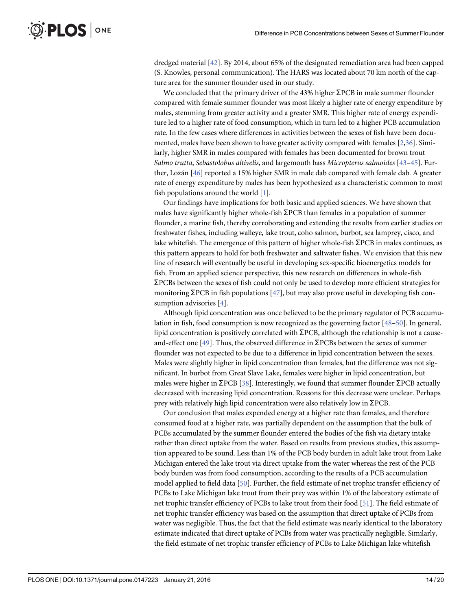<span id="page-13-0"></span>dredged material [[42\]](#page-18-0). By 2014, about 65% of the designated remediation area had been capped (S. Knowles, personal communication). The HARS was located about 70 km north of the capture area for the summer flounder used in our study.

We concluded that the primary driver of the 43% higher  $\Sigma$ PCB in male summer flounder compared with female summer flounder was most likely a higher rate of energy expenditure by males, stemming from greater activity and a greater SMR. This higher rate of energy expenditure led to a higher rate of food consumption, which in turn led to a higher PCB accumulation rate. In the few cases where differences in activities between the sexes of fish have been documented, males have been shown to have greater activity compared with females [\[2,](#page-16-0)[36\]](#page-18-0). Similarly, higher SMR in males compared with females has been documented for brown trout Salmo trutta, Sebastolobus altivelis, and largemouth bass Micropterus salmoides [\[43](#page-18-0)–[45](#page-18-0)]. Further, Lozán [\[46](#page-18-0)] reported a 15% higher SMR in male dab compared with female dab. A greater rate of energy expenditure by males has been hypothesized as a characteristic common to most fish populations around the world [[1](#page-16-0)].

Our findings have implications for both basic and applied sciences. We have shown that males have significantly higher whole-fish  $\Sigma$ PCB than females in a population of summer flounder, a marine fish, thereby corroborating and extending the results from earlier studies on freshwater fishes, including walleye, lake trout, coho salmon, burbot, sea lamprey, cisco, and lake whitefish. The emergence of this pattern of higher whole-fish  $\Sigma$ PCB in males continues, as this pattern appears to hold for both freshwater and saltwater fishes. We envision that this new line of research will eventually be useful in developing sex-specific bioenergetics models for fish. From an applied science perspective, this new research on differences in whole-fish ƩPCBs between the sexes of fish could not only be used to develop more efficient strategies for monitoring  $\Sigma$ PCB in fish populations [[47](#page-18-0)], but may also prove useful in developing fish consumption advisories [[4](#page-16-0)].

Although lipid concentration was once believed to be the primary regulator of PCB accumulation in fish, food consumption is now recognized as the governing factor [[48](#page-19-0)–[50](#page-19-0)]. In general, lipid concentration is positively correlated with  $\Sigma$ PCB, although the relationship is not a cause-and-effect one [\[49\]](#page-19-0). Thus, the observed difference in  $\Sigma$ PCBs between the sexes of summer flounder was not expected to be due to a difference in lipid concentration between the sexes. Males were slightly higher in lipid concentration than females, but the difference was not significant. In burbot from Great Slave Lake, females were higher in lipid concentration, but males were higher in  $\Sigma$ PCB [[38](#page-18-0)]. Interestingly, we found that summer flounder  $\Sigma$ PCB actually decreased with increasing lipid concentration. Reasons for this decrease were unclear. Perhaps prey with relatively high lipid concentration were also relatively low in  $\Sigma$ PCB.

Our conclusion that males expended energy at a higher rate than females, and therefore consumed food at a higher rate, was partially dependent on the assumption that the bulk of PCBs accumulated by the summer flounder entered the bodies of the fish via dietary intake rather than direct uptake from the water. Based on results from previous studies, this assumption appeared to be sound. Less than 1% of the PCB body burden in adult lake trout from Lake Michigan entered the lake trout via direct uptake from the water whereas the rest of the PCB body burden was from food consumption, according to the results of a PCB accumulation model applied to field data [\[50\]](#page-19-0). Further, the field estimate of net trophic transfer efficiency of PCBs to Lake Michigan lake trout from their prey was within 1% of the laboratory estimate of net trophic transfer efficiency of PCBs to lake trout from their food [\[51\]](#page-19-0). The field estimate of net trophic transfer efficiency was based on the assumption that direct uptake of PCBs from water was negligible. Thus, the fact that the field estimate was nearly identical to the laboratory estimate indicated that direct uptake of PCBs from water was practically negligible. Similarly, the field estimate of net trophic transfer efficiency of PCBs to Lake Michigan lake whitefish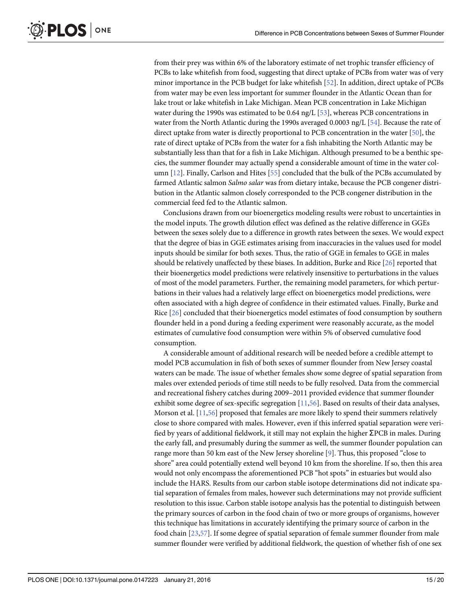<span id="page-14-0"></span>from their prey was within 6% of the laboratory estimate of net trophic transfer efficiency of PCBs to lake whitefish from food, suggesting that direct uptake of PCBs from water was of very minor importance in the PCB budget for lake whitefish [[52](#page-19-0)]. In addition, direct uptake of PCBs from water may be even less important for summer flounder in the Atlantic Ocean than for lake trout or lake whitefish in Lake Michigan. Mean PCB concentration in Lake Michigan water during the 1990s was estimated to be 0.64 ng/L  $[53]$  $[53]$ , whereas PCB concentrations in water from the North Atlantic during the 1990s averaged 0.0003 ng/L [\[54\]](#page-19-0). Because the rate of direct uptake from water is directly proportional to PCB concentration in the water [\[50](#page-19-0)], the rate of direct uptake of PCBs from the water for a fish inhabiting the North Atlantic may be substantially less than that for a fish in Lake Michigan. Although presumed to be a benthic species, the summer flounder may actually spend a considerable amount of time in the water column  $[12]$  $[12]$ . Finally, Carlson and Hites  $[55]$  $[55]$  $[55]$  concluded that the bulk of the PCBs accumulated by farmed Atlantic salmon *Salmo salar* was from dietary intake, because the PCB congener distribution in the Atlantic salmon closely corresponded to the PCB congener distribution in the commercial feed fed to the Atlantic salmon.

Conclusions drawn from our bioenergetics modeling results were robust to uncertainties in the model inputs. The growth dilution effect was defined as the relative difference in GGEs between the sexes solely due to a difference in growth rates between the sexes. We would expect that the degree of bias in GGE estimates arising from inaccuracies in the values used for model inputs should be similar for both sexes. Thus, the ratio of GGE in females to GGE in males should be relatively unaffected by these biases. In addition, Burke and Rice [[26](#page-18-0)] reported that their bioenergetics model predictions were relatively insensitive to perturbations in the values of most of the model parameters. Further, the remaining model parameters, for which perturbations in their values had a relatively large effect on bioenergetics model predictions, were often associated with a high degree of confidence in their estimated values. Finally, Burke and Rice [[26](#page-18-0)] concluded that their bioenergetics model estimates of food consumption by southern flounder held in a pond during a feeding experiment were reasonably accurate, as the model estimates of cumulative food consumption were within 5% of observed cumulative food consumption.

A considerable amount of additional research will be needed before a credible attempt to model PCB accumulation in fish of both sexes of summer flounder from New Jersey coastal waters can be made. The issue of whether females show some degree of spatial separation from males over extended periods of time still needs to be fully resolved. Data from the commercial and recreational fishery catches during 2009–2011 provided evidence that summer flounder exhibit some degree of sex-specific segregation [[11](#page-17-0)[,56](#page-19-0)]. Based on results of their data analyses, Morson et al. [[11](#page-17-0),[56](#page-19-0)] proposed that females are more likely to spend their summers relatively close to shore compared with males. However, even if this inferred spatial separation were verified by years of additional fieldwork, it still may not explain the higher  $\Sigma$ PCB in males. During the early fall, and presumably during the summer as well, the summer flounder population can range more than 50 km east of the New Jersey shoreline [[9](#page-17-0)]. Thus, this proposed "close to shore" area could potentially extend well beyond 10 km from the shoreline. If so, then this area would not only encompass the aforementioned PCB "hot spots" in estuaries but would also include the HARS. Results from our carbon stable isotope determinations did not indicate spatial separation of females from males, however such determinations may not provide sufficient resolution to this issue. Carbon stable isotope analysis has the potential to distinguish between the primary sources of carbon in the food chain of two or more groups of organisms, however this technique has limitations in accurately identifying the primary source of carbon in the food chain [[23](#page-17-0),[57](#page-19-0)]. If some degree of spatial separation of female summer flounder from male summer flounder were verified by additional fieldwork, the question of whether fish of one sex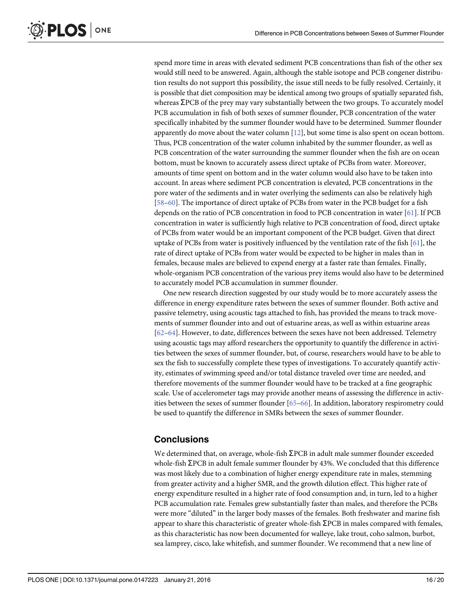<span id="page-15-0"></span>spend more time in areas with elevated sediment PCB concentrations than fish of the other sex would still need to be answered. Again, although the stable isotope and PCB congener distribution results do not support this possibility, the issue still needs to be fully resolved. Certainly, it is possible that diet composition may be identical among two groups of spatially separated fish, whereas  $\Sigma$ PCB of the prey may vary substantially between the two groups. To accurately model PCB accumulation in fish of both sexes of summer flounder, PCB concentration of the water specifically inhabited by the summer flounder would have to be determined. Summer flounder apparently do move about the water column  $[12]$  $[12]$  $[12]$ , but some time is also spent on ocean bottom. Thus, PCB concentration of the water column inhabited by the summer flounder, as well as PCB concentration of the water surrounding the summer flounder when the fish are on ocean bottom, must be known to accurately assess direct uptake of PCBs from water. Moreover, amounts of time spent on bottom and in the water column would also have to be taken into account. In areas where sediment PCB concentration is elevated, PCB concentrations in the pore water of the sediments and in water overlying the sediments can also be relatively high [\[58](#page-19-0)–[60\]](#page-19-0). The importance of direct uptake of PCBs from water in the PCB budget for a fish depends on the ratio of PCB concentration in food to PCB concentration in water [\[61\]](#page-19-0). If PCB concentration in water is sufficiently high relative to PCB concentration of food, direct uptake of PCBs from water would be an important component of the PCB budget. Given that direct uptake of PCBs from water is positively influenced by the ventilation rate of the fish [[61](#page-19-0)], the rate of direct uptake of PCBs from water would be expected to be higher in males than in females, because males are believed to expend energy at a faster rate than females. Finally, whole-organism PCB concentration of the various prey items would also have to be determined to accurately model PCB accumulation in summer flounder.

One new research direction suggested by our study would be to more accurately assess the difference in energy expenditure rates between the sexes of summer flounder. Both active and passive telemetry, using acoustic tags attached to fish, has provided the means to track movements of summer flounder into and out of estuarine areas, as well as within estuarine areas [\[62](#page-19-0)–[64\]](#page-19-0). However, to date, differences between the sexes have not been addressed. Telemetry using acoustic tags may afford researchers the opportunity to quantify the difference in activities between the sexes of summer flounder, but, of course, researchers would have to be able to sex the fish to successfully complete these types of investigations. To accurately quantify activity, estimates of swimming speed and/or total distance traveled over time are needed, and therefore movements of the summer flounder would have to be tracked at a fine geographic scale. Use of accelerometer tags may provide another means of assessing the difference in activities between the sexes of summer flounder [\[65](#page-19-0)–[66\]](#page-19-0). In addition, laboratory respirometry could be used to quantify the difference in SMRs between the sexes of summer flounder.

# **Conclusions**

We determined that, on average, whole-fish  $\Sigma PCB$  in adult male summer flounder exceeded whole-fish  $\Sigma$ PCB in adult female summer flounder by 43%. We concluded that this difference was most likely due to a combination of higher energy expenditure rate in males, stemming from greater activity and a higher SMR, and the growth dilution effect. This higher rate of energy expenditure resulted in a higher rate of food consumption and, in turn, led to a higher PCB accumulation rate. Females grew substantially faster than males, and therefore the PCBs were more "diluted" in the larger body masses of the females. Both freshwater and marine fish appear to share this characteristic of greater whole-fish  $\Sigma$ PCB in males compared with females, as this characteristic has now been documented for walleye, lake trout, coho salmon, burbot, sea lamprey, cisco, lake whitefish, and summer flounder. We recommend that a new line of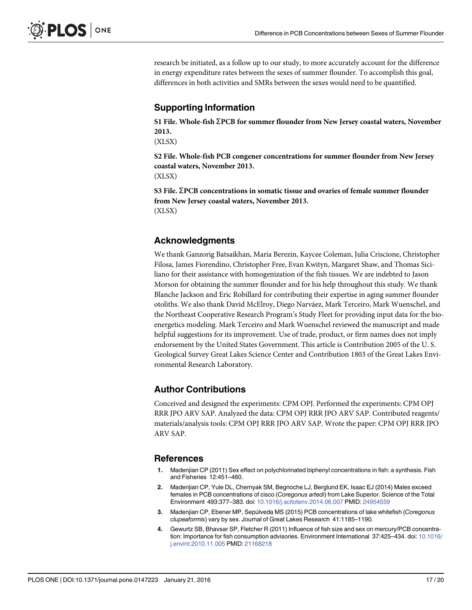<span id="page-16-0"></span>research be initiated, as a follow up to our study, to more accurately account for the difference in energy expenditure rates between the sexes of summer flounder. To accomplish this goal, differences in both activities and SMRs between the sexes would need to be quantified.

# Supporting Information

[S1 File.](http://www.plosone.org/article/fetchSingleRepresentation.action?uri=info:doi/10.1371/journal.pone.0147223.s001) Whole-fish  $\Sigma$ PCB for summer flounder from New Jersey coastal waters, November 2013.

(XLSX)

[S2 File.](http://www.plosone.org/article/fetchSingleRepresentation.action?uri=info:doi/10.1371/journal.pone.0147223.s002) Whole-fish PCB congener concentrations for summer flounder from New Jersey coastal waters, November 2013. (XLSX)

[S3 File.](http://www.plosone.org/article/fetchSingleRepresentation.action?uri=info:doi/10.1371/journal.pone.0147223.s003) ΣPCB concentrations in somatic tissue and ovaries of female summer flounder from New Jersey coastal waters, November 2013. (XLSX)

# Acknowledgments

We thank Ganzorig Batsaikhan, Maria Berezin, Kaycee Coleman, Julia Criscione, Christopher Filosa, James Fiorendino, Christopher Free, Evan Kwityn, Margaret Shaw, and Thomas Siciliano for their assistance with homogenization of the fish tissues. We are indebted to Jason Morson for obtaining the summer flounder and for his help throughout this study. We thank Blanche Jackson and Eric Robillard for contributing their expertise in aging summer flounder otoliths. We also thank David McElroy, Diego Narváez, Mark Terceiro, Mark Wuenschel, and the Northeast Cooperative Research Program's Study Fleet for providing input data for the bioenergetics modeling. Mark Terceiro and Mark Wuenschel reviewed the manuscript and made helpful suggestions for its improvement. Use of trade, product, or firm names does not imply endorsement by the United States Government. This article is Contribution 2005 of the U. S. Geological Survey Great Lakes Science Center and Contribution 1803 of the Great Lakes Environmental Research Laboratory.

# Author Contributions

Conceived and designed the experiments: CPM OPJ. Performed the experiments: CPM OPJ RRR JPO ARV SAP. Analyzed the data: CPM OPJ RRR JPO ARV SAP. Contributed reagents/ materials/analysis tools: CPM OPJ RRR JPO ARV SAP. Wrote the paper: CPM OPJ RRR JPO ARV SAP.

#### References

- [1.](#page-1-0) Madenjian CP (2011) Sex effect on polychlorinated biphenyl concentrations in fish: a synthesis. Fish and Fisheries 12:451–460.
- [2.](#page-1-0) Madenjian CP, Yule DL, Chernyak SM, Begnoche LJ, Berglund EK, Isaac EJ (2014) Males exceed females in PCB concentrations of cisco (Coregonus artedi) from Lake Superior. Science of the Total Environment 493:377–383. doi: [10.1016/j.scitotenv.2014.06.007](http://dx.doi.org/10.1016/j.scitotenv.2014.06.007) PMID: [24954559](http://www.ncbi.nlm.nih.gov/pubmed/24954559)
- [3.](#page-1-0) Madenjian CP, Ebener MP, Sepúlveda MS (2015) PCB concentrations of lake whitefish (Coregonus clupeaformis) vary by sex. Journal of Great Lakes Research 41:1185–1190.
- [4.](#page-1-0) Gewurtz SB, Bhavsar SP, Fletcher R (2011) Influence of fish size and sex on mercury/PCB concentration: Importance for fish consumption advisories. Environment International 37:425–434. doi: [10.1016/](http://dx.doi.org/10.1016/j.envint.2010.11.005) [j.envint.2010.11.005](http://dx.doi.org/10.1016/j.envint.2010.11.005) PMID: [21168218](http://www.ncbi.nlm.nih.gov/pubmed/21168218)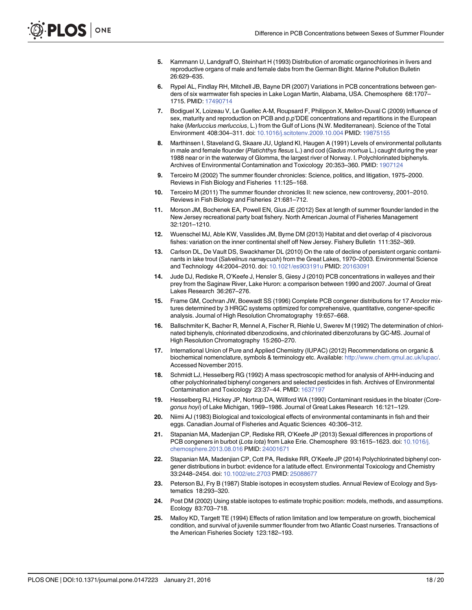- <span id="page-17-0"></span>[5.](#page-1-0) Kammann U, Landgraff O, Steinhart H (1993) Distribution of aromatic organochlorines in livers and reproductive organs of male and female dabs from the German Bight. Marine Pollution Bulletin 26:629–635.
- [6.](#page-1-0) Rypel AL, Findlay RH, Mitchell JB, Bayne DR (2007) Variations in PCB concentrations between genders of six warmwater fish species in Lake Logan Martin, Alabama, USA. Chemosphere 68:1707– 1715. PMID: [17490714](http://www.ncbi.nlm.nih.gov/pubmed/17490714)
- [7.](#page-1-0) Bodiguel X, Loizeau V, Le Guellec A-M, Roupsard F, Philippon X, Mellon-Duval C (2009) Influence of sex, maturity and reproduction on PCB and p,p'DDE concentrations and repartitions in the European hake (Merluccius merluccius, L.) from the Gulf of Lions (N.W. Mediterranean). Science of the Total Environment 408:304–311. doi: [10.1016/j.scitotenv.2009.10.004](http://dx.doi.org/10.1016/j.scitotenv.2009.10.004) PMID: [19875155](http://www.ncbi.nlm.nih.gov/pubmed/19875155)
- [8.](#page-1-0) Marthinsen I, Staveland G, Skaare JU, Ugland KI, Haugen A (1991) Levels of environmental pollutants in male and female flounder (Platichthys flesus L.) and cod (Gadus morhua L.) caught during the year 1988 near or in the waterway of Glomma, the largest river of Norway. I. Polychlorinated biphenyls. Archives of Environmental Contamination and Toxicology 20:353–360. PMID: [1907124](http://www.ncbi.nlm.nih.gov/pubmed/1907124)
- [9.](#page-2-0) Terceiro M (2002) The summer flounder chronicles: Science, politics, and litigation, 1975–2000. Reviews in Fish Biology and Fisheries 11:125–168.
- [10.](#page-2-0) Terceiro M (2011) The summer flounder chronicles II: new science, new controversy, 2001–2010. Reviews in Fish Biology and Fisheries 21:681–712.
- [11.](#page-2-0) Morson JM, Bochenek EA, Powell EN, Gius JE (2012) Sex at length of summer flounder landed in the New Jersey recreational party boat fishery. North American Journal of Fisheries Management 32:1201–1210.
- [12.](#page-2-0) Wuenschel MJ, Able KW, Vasslides JM, Byrne DM (2013) Habitat and diet overlap of 4 piscivorous fishes: variation on the inner continental shelf off New Jersey. Fishery Bulletin 111:352–369.
- [13.](#page-3-0) Carlson DL, De Vault DS, Swackhamer DL (2010) On the rate of decline of persistent organic contaminants in lake trout (Salvelinus namaycush) from the Great Lakes, 1970–2003. Environmental Science and Technology 44:2004–2010. doi: [10.1021/es903191u](http://dx.doi.org/10.1021/es903191u) PMID: [20163091](http://www.ncbi.nlm.nih.gov/pubmed/20163091)
- [14.](#page-3-0) Jude DJ, Rediske R, O'Keefe J, Hensler S, Giesy J (2010) PCB concentrations in walleyes and their prey from the Saginaw River, Lake Huron: a comparison between 1990 and 2007. Journal of Great Lakes Research 36:267–276.
- [15.](#page-4-0) Frame GM, Cochran JW, Boewadt SS (1996) Complete PCB congener distributions for 17 Aroclor mixtures determined by 3 HRGC systems optimized for comprehensive, quantitative, congener-specific analysis. Journal of High Resolution Chromatography 19:657–668.
- [16.](#page-4-0) Ballschmiter K, Bacher R, Mennel A, Fischer R, Riehle U, Swerev M (1992) The determination of chlorinated biphenyls, chlorinated dibenzodioxins, and chlorinated dibenzofurans by GC-MS. Journal of High Resolution Chromatography 15:260–270.
- [17.](#page-4-0) International Union of Pure and Applied Chemistry (IUPAC) (2012) Recommendations on organic & biochemical nomenclature, symbols & terminology etc. Available: <http://www.chem.qmul.ac.uk/iupac/>. Accessed November 2015.
- [18.](#page-5-0) Schmidt LJ, Hesselberg RG (1992) A mass spectroscopic method for analysis of AHH-inducing and other polychlorinated biphenyl congeners and selected pesticides in fish. Archives of Environmental Contamination and Toxicology 23:37–44. PMID: [1637197](http://www.ncbi.nlm.nih.gov/pubmed/1637197)
- [19.](#page-5-0) Hesselberg RJ, Hickey JP, Nortrup DA, Willford WA (1990) Contaminant residues in the bloater (Coregonus hoyi) of Lake Michigan, 1969–1986. Journal of Great Lakes Research 16:121–129.
- [20.](#page-5-0) Niimi AJ (1983) Biological and toxicological effects of environmental contaminants in fish and their eggs. Canadian Journal of Fisheries and Aquatic Sciences 40:306–312.
- [21.](#page-6-0) Stapanian MA, Madenjian CP, Rediske RR, O'Keefe JP (2013) Sexual differences in proportions of PCB congeners in burbot (Lota lota) from Lake Erie. Chemosphere 93:1615-1623. doi: [10.1016/j.](http://dx.doi.org/10.1016/j.chemosphere.2013.08.016) [chemosphere.2013.08.016](http://dx.doi.org/10.1016/j.chemosphere.2013.08.016) PMID: [24001671](http://www.ncbi.nlm.nih.gov/pubmed/24001671)
- [22.](#page-6-0) Stapanian MA, Madenjian CP, Cott PA, Rediske RR, O'Keefe JP (2014) Polychlorinated biphenyl congener distributions in burbot: evidence for a latitude effect. Environmental Toxicology and Chemistry 33:2448–2454. doi: [10.1002/etc.2703](http://dx.doi.org/10.1002/etc.2703) PMID: [25088677](http://www.ncbi.nlm.nih.gov/pubmed/25088677)
- [23.](#page-6-0) Peterson BJ, Fry B (1987) Stable isotopes in ecosystem studies. Annual Review of Ecology and Systematics 18:293–320.
- [24.](#page-6-0) Post DM (2002) Using stable isotopes to estimate trophic position: models, methods, and assumptions. Ecology 83:703–718.
- [25.](#page-7-0) Malloy KD, Targett TE (1994) Effects of ration limitation and low temperature on growth, biochemical condition, and survival of juvenile summer flounder from two Atlantic Coast nurseries. Transactions of the American Fisheries Society 123:182–193.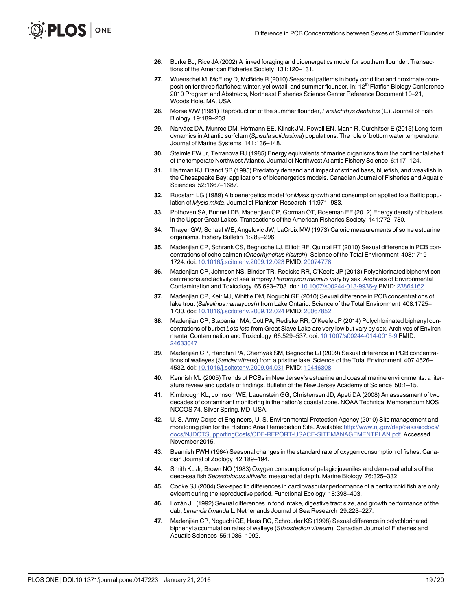- <span id="page-18-0"></span>[26.](#page-7-0) Burke BJ, Rice JA (2002) A linked foraging and bioenergetics model for southern flounder. Transactions of the American Fisheries Society 131:120–131.
- [27.](#page-7-0) Wuenschel M, McElroy D, McBride R (2010) Seasonal patterns in body condition and proximate composition for three flatfishes: winter, yellowtail, and summer flounder. In: 12<sup>th</sup> Flatfish Biology Conference 2010 Program and Abstracts, Northeast Fisheries Science Center Reference Document 10–21, Woods Hole, MA, USA.
- [28.](#page-7-0) Morse WW (1981) Reproduction of the summer flounder, Paralichthys dentatus (L.). Journal of Fish Biology 19:189–203.
- [29.](#page-7-0) Narváez DA, Munroe DM, Hofmann EE, Klinck JM, Powell EN, Mann R, Curchitser E (2015) Long-term dynamics in Atlantic surfclam (Spisula solidissima) populations: The role of bottom water temperature. Journal of Marine Systems 141:136–148.
- [30.](#page-7-0) Steimle FW Jr, Terranova RJ (1985) Energy equivalents of marine organisms from the continental shelf of the temperate Northwest Atlantic. Journal of Northwest Atlantic Fishery Science 6:117–124.
- [31.](#page-7-0) Hartman KJ, Brandt SB (1995) Predatory demand and impact of striped bass, bluefish, and weakfish in the Chesapeake Bay: applications of bioenergetics models. Canadian Journal of Fisheries and Aquatic Sciences 52:1667–1687.
- [32.](#page-7-0) Rudstam LG (1989) A bioenergetics model for Mysis growth and consumption applied to a Baltic population of Mysis mixta. Journal of Plankton Research 11:971–983.
- [33.](#page-7-0) Pothoven SA, Bunnell DB, Madenjian CP, Gorman OT, Roseman EF (2012) Energy density of bloaters in the Upper Great Lakes. Transactions of the American Fisheries Society 141:772–780.
- [34.](#page-7-0) Thayer GW, Schaaf WE, Angelovic JW, LaCroix MW (1973) Caloric measurements of some estuarine organisms. Fishery Bulletin 1:289–296.
- [35.](#page-11-0) Madenjian CP, Schrank CS, Begnoche LJ, Elliott RF, Quintal RT (2010) Sexual difference in PCB concentrations of coho salmon (Oncorhynchus kisutch). Science of the Total Environment 408:1719– 1724. doi: [10.1016/j.scitotenv.2009.12.023](http://dx.doi.org/10.1016/j.scitotenv.2009.12.023) PMID: [20074778](http://www.ncbi.nlm.nih.gov/pubmed/20074778)
- [36.](#page-11-0) Madenjian CP, Johnson NS, Binder TR, Rediske RR, O'Keefe JP (2013) Polychlorinated biphenyl concentrations and activity of sea lamprey Petromyzon marinus vary by sex. Archives of Environmental Contamination and Toxicology 65:693–703. doi: [10.1007/s00244-013-9936-y](http://dx.doi.org/10.1007/s00244-013-9936-y) PMID: [23864162](http://www.ncbi.nlm.nih.gov/pubmed/23864162)
- 37. Madenjian CP, Keir MJ, Whittle DM, Noguchi GE (2010) Sexual difference in PCB concentrations of lake trout (Salvelinus namaycush) from Lake Ontario. Science of the Total Environment 408:1725– 1730. doi: [10.1016/j.scitotenv.2009.12.024](http://dx.doi.org/10.1016/j.scitotenv.2009.12.024) PMID: [20067852](http://www.ncbi.nlm.nih.gov/pubmed/20067852)
- [38.](#page-12-0) Madenjian CP, Stapanian MA, Cott PA, Rediske RR, O'Keefe JP (2014) Polychlorinated biphenyl concentrations of burbot Lota lota from Great Slave Lake are very low but vary by sex. Archives of Environ-mental Contamination and Toxicology 66:529-537. doi: [10.1007/s00244-014-0015-9](http://dx.doi.org/10.1007/s00244-014-0015-9) PMID: [24633047](http://www.ncbi.nlm.nih.gov/pubmed/24633047)
- [39.](#page-12-0) Madenjian CP, Hanchin PA, Chernyak SM, Begnoche LJ (2009) Sexual difference in PCB concentrations of walleyes (Sander vitreus) from a pristine lake. Science of the Total Environment 407:4526– 4532. doi: [10.1016/j.scitotenv.2009.04.031](http://dx.doi.org/10.1016/j.scitotenv.2009.04.031) PMID: [19446308](http://www.ncbi.nlm.nih.gov/pubmed/19446308)
- [40.](#page-12-0) Kennish MJ (2005) Trends of PCBs in New Jersey's estuarine and coastal marine environments: a literature review and update of findings. Bulletin of the New Jersey Academy of Science 50:1–15.
- [41.](#page-12-0) Kimbrough KL, Johnson WE, Lauenstein GG, Christensen JD, Apeti DA (2008) An assessment of two decades of contaminant monitoring in the nation's coastal zone. NOAA Technical Memorandum NOS NCCOS 74, Silver Spring, MD, USA.
- [42.](#page-12-0) U. S. Army Corps of Engineers, U. S. Environmental Protection Agency (2010) Site management and monitoring plan for the Historic Area Remediation Site. Available: [http://www.nj.gov/dep/passaicdocs/](http://www.nj.gov/dep/passaicdocs/docs/NJDOTSupportingCosts/CDF-REPORT-USACE-SITEMANAGEMENTPLAN.pdf) [docs/NJDOTSupportingCosts/CDF-REPORT-USACE-SITEMANAGEMENTPLAN.pdf.](http://www.nj.gov/dep/passaicdocs/docs/NJDOTSupportingCosts/CDF-REPORT-USACE-SITEMANAGEMENTPLAN.pdf) Accessed November 2015.
- [43.](#page-13-0) Beamish FWH (1964) Seasonal changes in the standard rate of oxygen consumption of fishes. Canadian Journal of Zoology 42:189–194.
- 44. Smith KL Jr, Brown NO (1983) Oxygen consumption of pelagic juveniles and demersal adults of the deep-sea fish Sebastolobus altivelis, measured at depth. Marine Biology 76:325–332.
- [45.](#page-13-0) Cooke SJ (2004) Sex-specific differences in cardiovascular performance of a centrarchid fish are only evident during the reproductive period. Functional Ecology 18:398–403.
- [46.](#page-13-0) Lozán JL (1992) Sexual differences in food intake, digestive tract size, and growth performance of the dab, Limanda limanda L. Netherlands Journal of Sea Research 29:223–227.
- [47.](#page-13-0) Madenjian CP, Noguchi GE, Haas RC, Schrouder KS (1998) Sexual difference in polychlorinated biphenyl accumulation rates of walleye (Stizostedion vitreum). Canadian Journal of Fisheries and Aquatic Sciences 55:1085–1092.